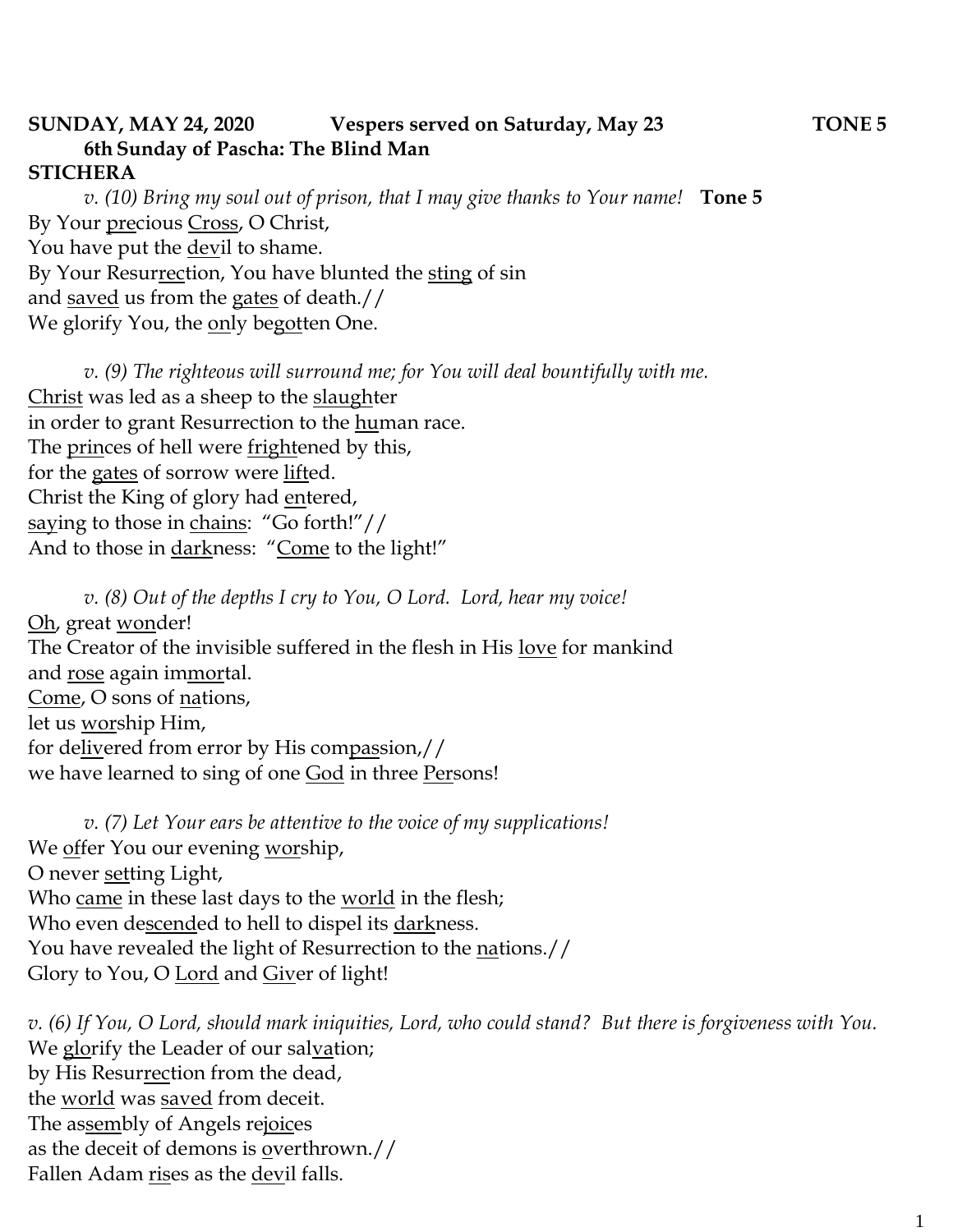## **SUNDAY, MAY 24, 2020 Vespers served on Saturday, May 23 TONE 5 6th Sunday of Pascha: The Blind Man STICHERA**

*v. (10) Bring my soul out of prison, that I may give thanks to Your name!* **Tone 5**  By Your precious Cross, O Christ, You have put the devil to shame. By Your Resurrection, You have blunted the sting of sin and saved us from the gates of death.// We glorify You, the <u>on</u>ly begotten One.

*v.* (9) The righteous will surround me; for You will deal bountifully with me. Christ was led as a sheep to the slaughter in order to grant Resurrection to the human race. The princes of hell were frightened by this, for the gates of sorrow were lifted. Christ the King of glory had entered, saying to those in chains: "Go forth!"// And to those in darkness: "Come to the light!"

*v. (8) Out of the depths I cry to You, O Lord. Lord, hear my voice!*  Oh, great wonder! The Creator of the invisible suffered in the flesh in His love for mankind and rose again immortal. Come, O sons of nations, let us worship Him, for delivered from error by His compassion,// we have learned to sing of one God in three Persons!

*v. (7) Let Your ears be attentive to the voice of my supplications!* We offer You our evening worship, O never setting Light, Who came in these last days to the world in the flesh; Who even descended to hell to dispel its darkness. You have revealed the light of Resurrection to the nations.// Glory to You, O Lord and Giver of light!

*v. (6) If You, O Lord, should mark iniquities, Lord, who could stand? But there is forgiveness with You.*  We glorify the Leader of our salvation; by His Resurrection from the dead, the world was saved from deceit. The assembly of Angels rejoices as the deceit of demons is overthrown.// Fallen Adam rises as the devil falls.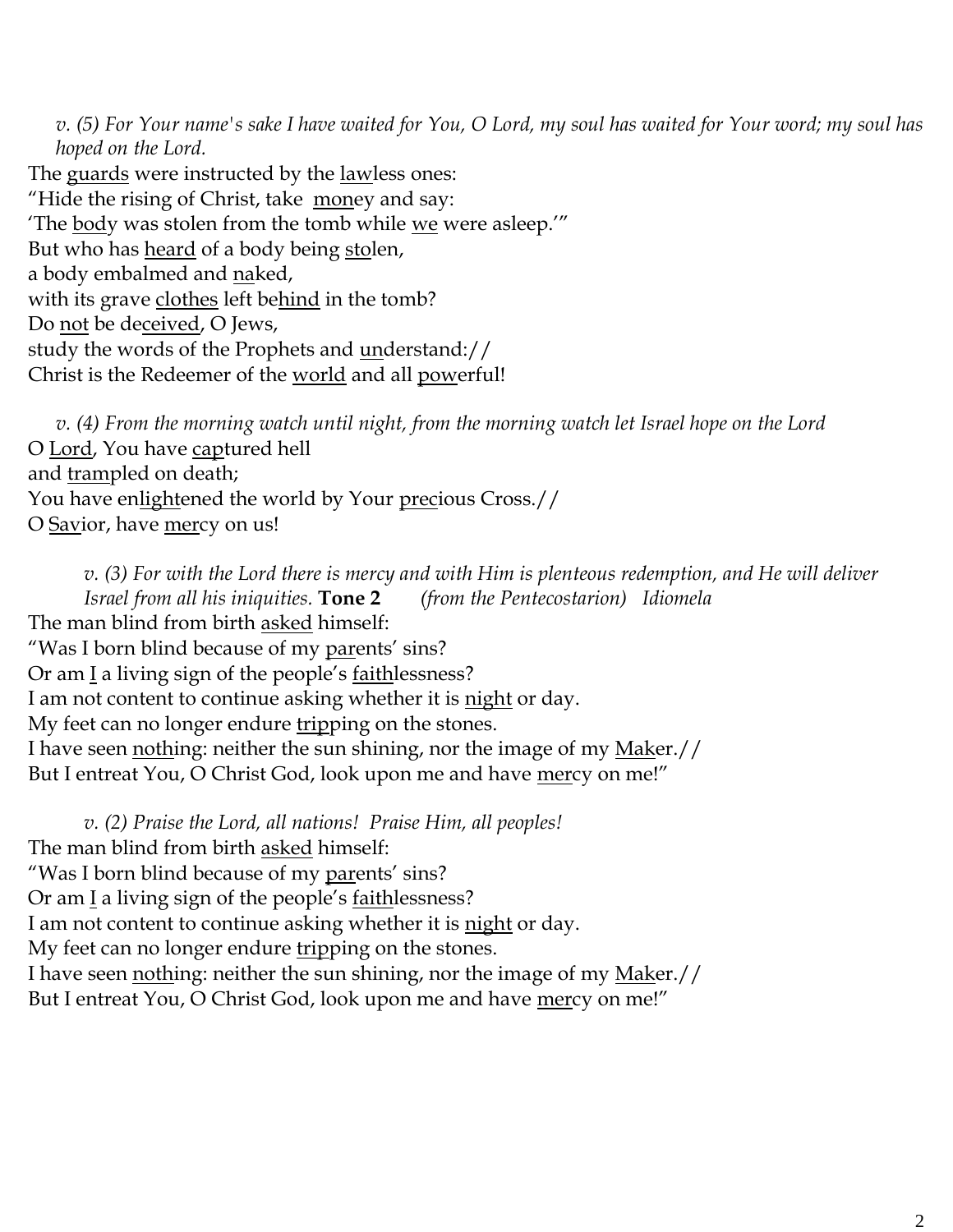*v. (5) For Your name's sake I have waited for You, O Lord, my soul has waited for Your word; my soul has hoped on the Lord.*  The guards were instructed by the <u>law</u>less ones: "Hide the rising of Christ, take money and say: 'The body was stolen from the tomb while we were asleep.'" But who has heard of a body being stolen, a body embalmed and naked, with its grave clothes left behind in the tomb? Do not be deceived, O Jews, study the words of the Prophets and understand:// Christ is the Redeemer of the world and all powerful!

*v. (4) From the morning watch until night, from the morning watch let Israel hope on the Lord*  O Lord, You have captured hell and trampled on death; You have enlightened the world by Your precious Cross.// O Savior, have mercy on us!

*v. (3) For with the Lord there is mercy and with Him is plenteous redemption, and He will deliver Israel from all his iniquities.* **Tone 2** *(from the Pentecostarion) Idiomela* The man blind from birth asked himself: "Was I born blind because of my parents' sins? Or am  $\underline{I}$  a living sign of the people's  $\underline{faithlessness}$ ? I am not content to continue asking whether it is <u>night</u> or day. My feet can no longer endure tripping on the stones. I have seen nothing: neither the sun shining, nor the image of my Maker.// But I entreat You, O Christ God, look upon me and have mercy on me!"

*v. (2) Praise the Lord, all nations! Praise Him, all peoples!* The man blind from birth asked himself: "Was I born blind because of my parents' sins? Or am  $\underline{I}$  a living sign of the people's <u>faith</u> lessness? I am not content to continue asking whether it is <u>night</u> or day. My feet can no longer endure tripping on the stones. I have seen nothing: neither the sun shining, nor the image of my Maker.// But I entreat You, O Christ God, look upon me and have mercy on me!"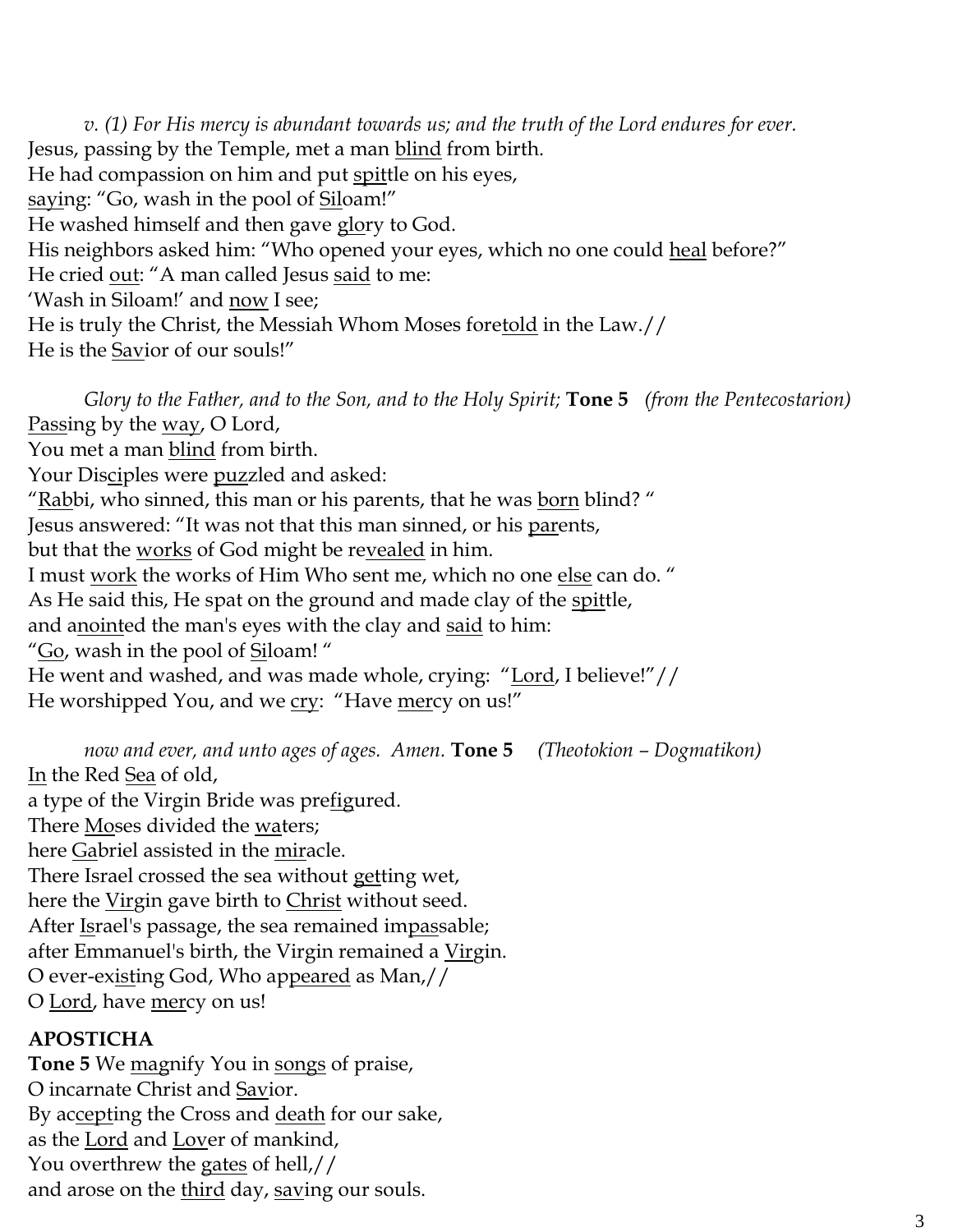*v. (1) For His mercy is abundant towards us; and the truth of the Lord endures for ever.*  Jesus, passing by the Temple, met a man blind from birth. He had compassion on him and put spittle on his eyes, saying: "Go, wash in the pool of Siloam!" He washed himself and then gave glory to God. His neighbors asked him: "Who opened your eyes, which no one could heal before?" He cried out: "A man called Jesus said to me: 'Wash in Siloam!' and now I see; He is truly the Christ, the Messiah Whom Moses foretold in the Law.// He is the Savior of our souls!"

*Glory to the Father, and to the Son, and to the Holy Spirit;* **Tone 5** *(from the Pentecostarion)* Passing by the <u>way</u>, O Lord, You met a man blind from birth. Your Dis<u>ci</u>ples were <u>puz</u>zled and asked: "Rabbi, who sinned, this man or his parents, that he was born blind?" Jesus answered: "It was not that this man sinned, or his parents, but that the works of God might be revealed in him. I must work the works of Him Who sent me, which no one else can do. " As He said this, He spat on the ground and made clay of the spittle, and anointed the man's eyes with the clay and said to him: "Go, wash in the pool of Siloam!" He went and washed, and was made whole, crying: "Lord, I believe!"// He worshipped You, and we cry: "Have mercy on us!"

*now and ever, and unto ages of ages. Amen.* **Tone 5** *(Theotokion – Dogmatikon)*

In the Red Sea of old,

a type of the Virgin Bride was prefigured.

There Moses divided the waters;

here Gabriel assisted in the miracle.

There Israel crossed the sea without getting wet,

here the Virgin gave birth to Christ without seed.

After Israel's passage, the sea remained impassable;

after Emmanuel's birth, the Virgin remained a Virgin.

O ever-existing God, Who appeared as Man,//

O Lord, have mercy on us!

## **APOSTICHA**

**Tone 5** We magnify You in songs of praise, O incarnate Christ and Savior. By accepting the Cross and death for our sake, as the Lord and Lover of mankind, You overthrew the gates of hell,// and arose on the third day, saving our souls.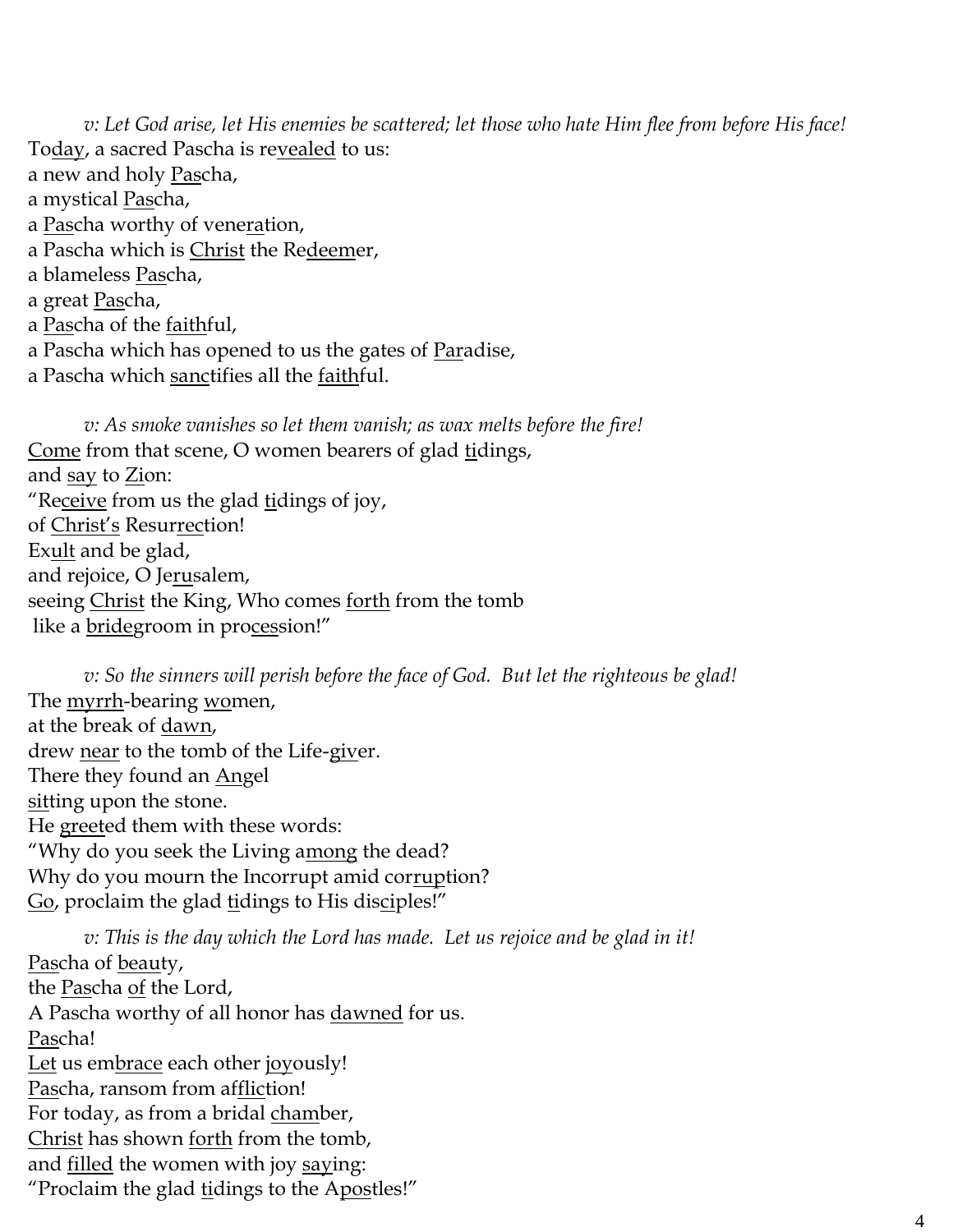*v: Let God arise, let His enemies be scattered; let those who hate Him flee from before His face!* To<u>day</u>, a sacred Pascha is re<u>vealed</u> to us: a new and holy Pascha, a mystical <u>Pas</u>cha, a Pascha worthy of veneration, a Pascha which is Christ the Redeemer, a blameless Pascha, a great Pascha, a Pascha of the faithful, a Pascha which has opened to us the gates of Paradise, a Pascha which sanctifies all the faithful.

*v: As smoke vanishes so let them vanish; as wax melts before the fire!* Come from that scene, O women bearers of glad tidings, and say to Zion: "Receive from us the glad tidings of joy, of Christ's Resurrection! Exult and be glad, and rejoice, O Jerusalem, seeing Christ the King, Who comes forth from the tomb like a bridegroom in procession!"

*v: So the sinners will perish before the face of God. But let the righteous be glad!* The myrrh-bearing women, at the break of dawn, drew near to the tomb of the Life-giver. There they found an <u>Ang</u>el sitting upon the stone. He greeted them with these words: "Why do you seek the Living among the dead? Why do you mourn the Incorrupt amid corruption? Go, proclaim the glad tidings to His disciples!"

*v: This is the day which the Lord has made. Let us rejoice and be glad in it!* Pascha of beauty, the Pascha of the Lord, A Pascha worthy of all honor has dawned for us. Pascha! Let us embrace each other joyously! Pascha, ransom from affliction! For today, as from a bridal chamber, Christ has shown forth from the tomb, and filled the women with joy saying: "Proclaim the glad tidings to the Apostles!"